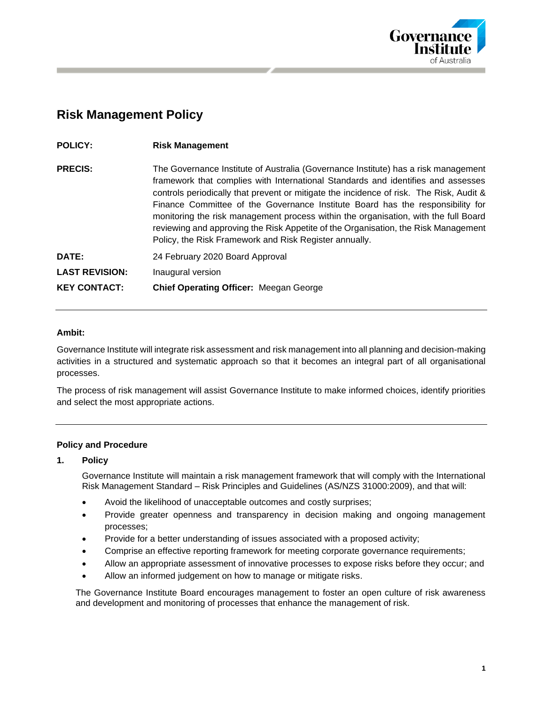

# **Risk Management Policy**

| <b>POLICY:</b>        | <b>Risk Management</b>                                                                                                                                                                                                                                                                                                                                                                                                                                                                                                                                                                     |
|-----------------------|--------------------------------------------------------------------------------------------------------------------------------------------------------------------------------------------------------------------------------------------------------------------------------------------------------------------------------------------------------------------------------------------------------------------------------------------------------------------------------------------------------------------------------------------------------------------------------------------|
| <b>PRECIS:</b>        | The Governance Institute of Australia (Governance Institute) has a risk management<br>framework that complies with International Standards and identifies and assesses<br>controls periodically that prevent or mitigate the incidence of risk. The Risk, Audit &<br>Finance Committee of the Governance Institute Board has the responsibility for<br>monitoring the risk management process within the organisation, with the full Board<br>reviewing and approving the Risk Appetite of the Organisation, the Risk Management<br>Policy, the Risk Framework and Risk Register annually. |
| DATE:                 | 24 February 2020 Board Approval                                                                                                                                                                                                                                                                                                                                                                                                                                                                                                                                                            |
| <b>LAST REVISION:</b> | Inaugural version                                                                                                                                                                                                                                                                                                                                                                                                                                                                                                                                                                          |
| <b>KEY CONTACT:</b>   | <b>Chief Operating Officer: Meegan George</b>                                                                                                                                                                                                                                                                                                                                                                                                                                                                                                                                              |

## **Ambit:**

Governance Institute will integrate risk assessment and risk management into all planning and decision-making activities in a structured and systematic approach so that it becomes an integral part of all organisational processes.

The process of risk management will assist Governance Institute to make informed choices, identify priorities and select the most appropriate actions.

#### **Policy and Procedure**

#### **1. Policy**

Governance Institute will maintain a risk management framework that will comply with the International Risk Management Standard – Risk Principles and Guidelines (AS/NZS 31000:2009), and that will:

- Avoid the likelihood of unacceptable outcomes and costly surprises;
- Provide greater openness and transparency in decision making and ongoing management processes;
- Provide for a better understanding of issues associated with a proposed activity;
- Comprise an effective reporting framework for meeting corporate governance requirements;
- Allow an appropriate assessment of innovative processes to expose risks before they occur; and
- Allow an informed judgement on how to manage or mitigate risks.

The Governance Institute Board encourages management to foster an open culture of risk awareness and development and monitoring of processes that enhance the management of risk.